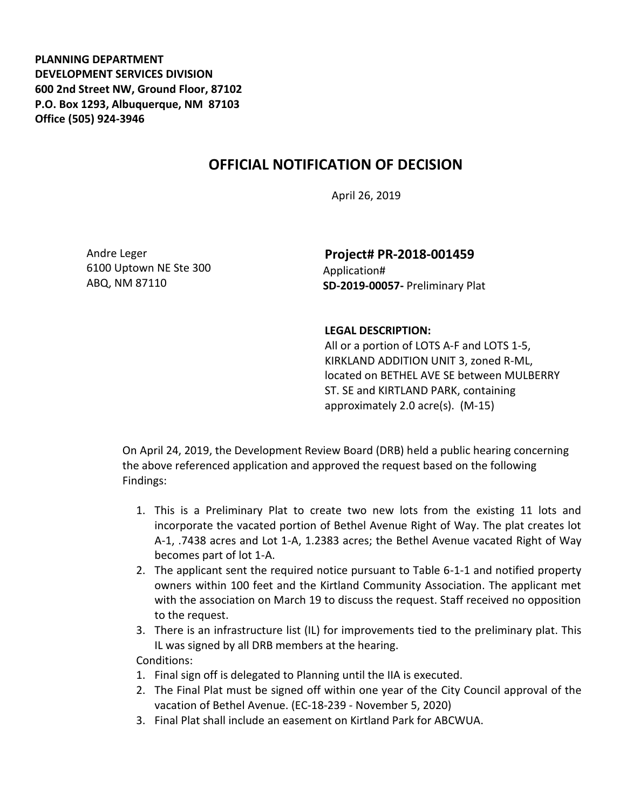**PLANNING DEPARTMENT DEVELOPMENT SERVICES DIVISION 600 2nd Street NW, Ground Floor, 87102 P.O. Box 1293, Albuquerque, NM 87103 Office (505) 924-3946** 

## **OFFICIAL NOTIFICATION OF DECISION**

April 26, 2019

Andre Leger 6100 Uptown NE Ste 300 ABQ, NM 87110

**Project# PR-2018-001459** Application# **SD-2019-00057-** Preliminary Plat

## **LEGAL DESCRIPTION:**

All or a portion of LOTS A-F and LOTS 1-5, KIRKLAND ADDITION UNIT 3, zoned R-ML, located on BETHEL AVE SE between MULBERRY ST. SE and KIRTLAND PARK, containing approximately 2.0 acre(s). (M-15)

On April 24, 2019, the Development Review Board (DRB) held a public hearing concerning the above referenced application and approved the request based on the following Findings:

- 1. This is a Preliminary Plat to create two new lots from the existing 11 lots and incorporate the vacated portion of Bethel Avenue Right of Way. The plat creates lot A-1, .7438 acres and Lot 1-A, 1.2383 acres; the Bethel Avenue vacated Right of Way becomes part of lot 1-A.
- 2. The applicant sent the required notice pursuant to Table 6-1-1 and notified property owners within 100 feet and the Kirtland Community Association. The applicant met with the association on March 19 to discuss the request. Staff received no opposition to the request.
- 3. There is an infrastructure list (IL) for improvements tied to the preliminary plat. This IL was signed by all DRB members at the hearing.

Conditions:

- 1. Final sign off is delegated to Planning until the IIA is executed.
- 2. The Final Plat must be signed off within one year of the City Council approval of the vacation of Bethel Avenue. (EC-18-239 - November 5, 2020)
- 3. Final Plat shall include an easement on Kirtland Park for ABCWUA.